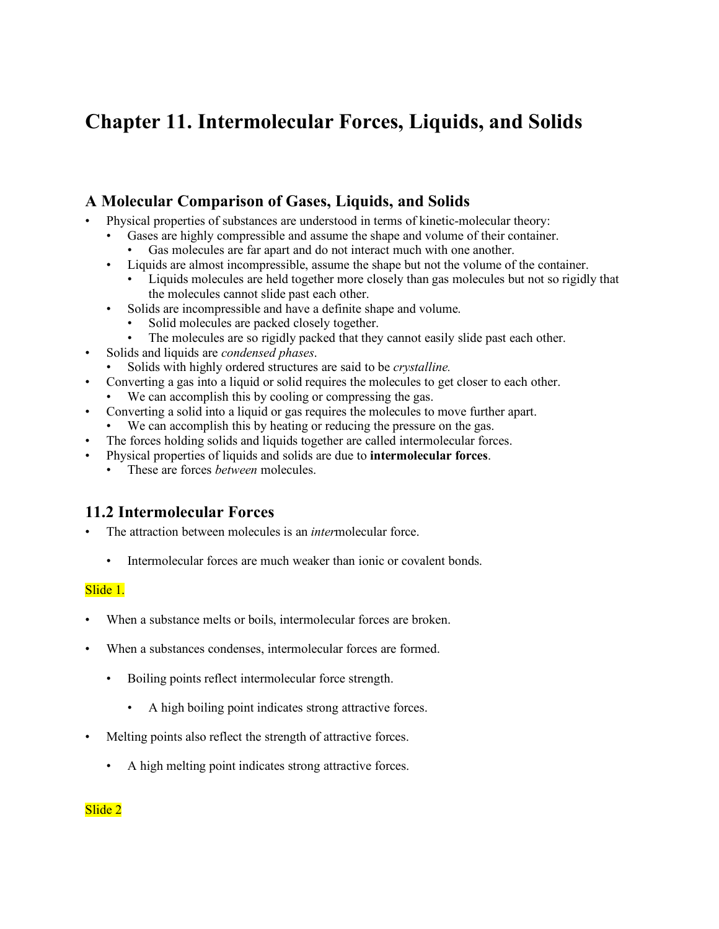# **Chapter 11. Intermolecular Forces, Liquids, and Solids**

# **A Molecular Comparison of Gases, Liquids, and Solids**

- Physical properties of substances are understood in terms of kinetic-molecular theory:
	- Gases are highly compressible and assume the shape and volume of their container. Gas molecules are far apart and do not interact much with one another.
	- Liquids are almost incompressible, assume the shape but not the volume of the container.
		- Liquids molecules are held together more closely than gas molecules but not so rigidly that the molecules cannot slide past each other.
	- Solids are incompressible and have a definite shape and volume.
		- Solid molecules are packed closely together.
		- The molecules are so rigidly packed that they cannot easily slide past each other.
- Solids and liquids are *condensed phases*.
	- Solids with highly ordered structures are said to be *crystalline.*
	- Converting a gas into a liquid or solid requires the molecules to get closer to each other.
	- We can accomplish this by cooling or compressing the gas.
- Converting a solid into a liquid or gas requires the molecules to move further apart.
	- We can accomplish this by heating or reducing the pressure on the gas.
- The forces holding solids and liquids together are called intermolecular forces.
- Physical properties of liquids and solids are due to **intermolecular forces**.
	- These are forces *between* molecules.

# **11.2 Intermolecular Forces**

- The attraction between molecules is an *inter*molecular force.
	- Intermolecular forces are much weaker than ionic or covalent bonds.

### Slide 1.

- When a substance melts or boils, intermolecular forces are broken.
- When a substances condenses, intermolecular forces are formed.
	- Boiling points reflect intermolecular force strength.
		- A high boiling point indicates strong attractive forces.
- Melting points also reflect the strength of attractive forces.
	- A high melting point indicates strong attractive forces.

### Slide 2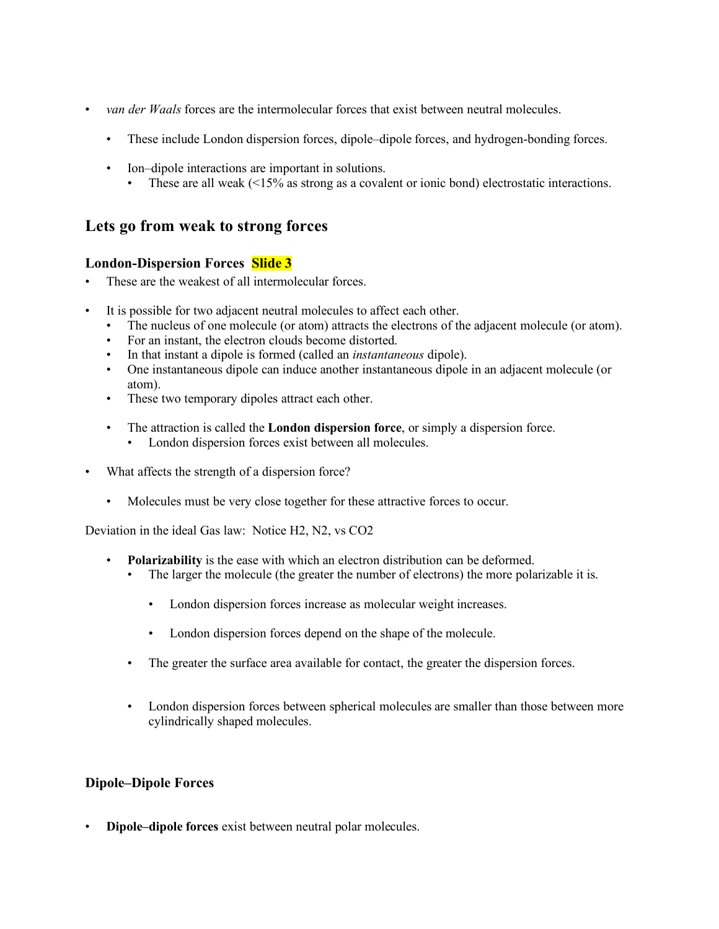- *van der Waals* forces are the intermolecular forces that exist between neutral molecules.
	- These include London dispersion forces, dipole–dipole forces, and hydrogen-bonding forces.
	- Ion–dipole interactions are important in solutions.
		- These are all weak  $\leq 15\%$  as strong as a covalent or ionic bond) electrostatic interactions.

### **Lets go from weak to strong forces**

### **London-Dispersion Forces Slide 3**

- These are the weakest of all intermolecular forces.
- It is possible for two adjacent neutral molecules to affect each other.
	- The nucleus of one molecule (or atom) attracts the electrons of the adjacent molecule (or atom).
	- For an instant, the electron clouds become distorted.
	- In that instant a dipole is formed (called an *instantaneous* dipole).
	- One instantaneous dipole can induce another instantaneous dipole in an adjacent molecule (or atom).
	- These two temporary dipoles attract each other.
	- The attraction is called the **London dispersion force**, or simply a dispersion force.
		- London dispersion forces exist between all molecules.
- What affects the strength of a dispersion force?
	- Molecules must be very close together for these attractive forces to occur.

Deviation in the ideal Gas law: Notice H2, N2, vs CO2

- **Polarizability** is the ease with which an electron distribution can be deformed.
	- The larger the molecule (the greater the number of electrons) the more polarizable it is.
		- London dispersion forces increase as molecular weight increases.
		- London dispersion forces depend on the shape of the molecule.
	- The greater the surface area available for contact, the greater the dispersion forces.
	- London dispersion forces between spherical molecules are smaller than those between more cylindrically shaped molecules.

### **Dipole–Dipole Forces**

• **Dipole–dipole forces** exist between neutral polar molecules.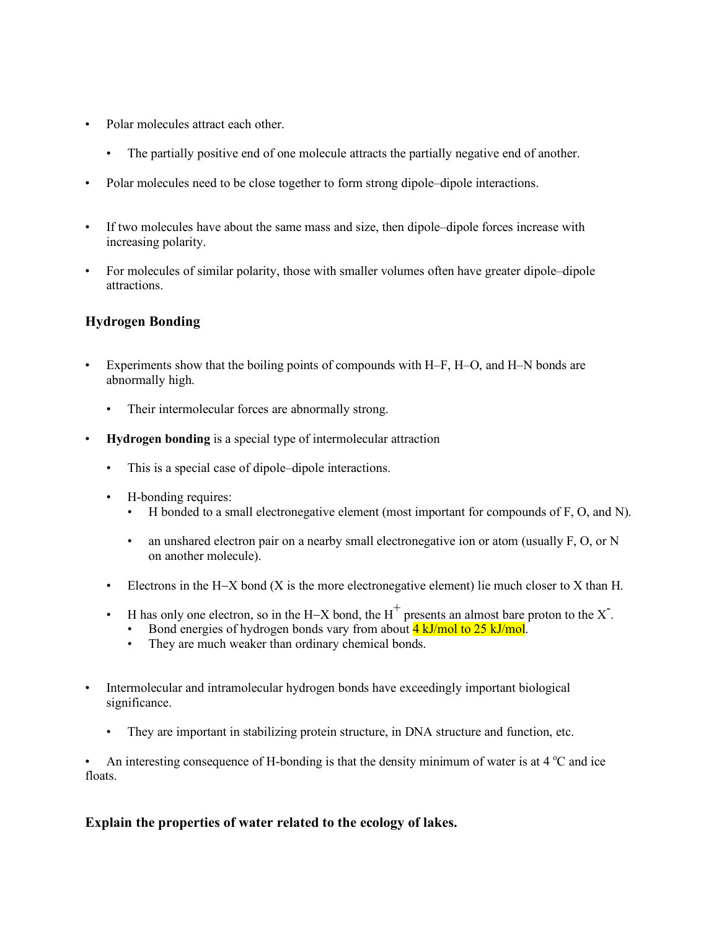- Polar molecules attract each other.
	- The partially positive end of one molecule attracts the partially negative end of another.
- Polar molecules need to be close together to form strong dipole–dipole interactions.
- If two molecules have about the same mass and size, then dipole–dipole forces increase with increasing polarity.
- For molecules of similar polarity, those with smaller volumes often have greater dipole–dipole attractions.

### **Hydrogen Bonding**

- Experiments show that the boiling points of compounds with H–F, H–O, and H–N bonds are abnormally high.
	- Their intermolecular forces are abnormally strong.
- **Hydrogen bonding** is a special type of intermolecular attraction
	- This is a special case of dipole–dipole interactions.
	- H-bonding requires:
		- H bonded to a small electronegative element (most important for compounds of F, O, and N).
		- an unshared electron pair on a nearby small electronegative ion or atom (usually F, O, or N on another molecule).
	- Electrons in the H-X bond  $(X$  is the more electronegative element) lie much closer to X than H.
	- H has only one electron, so in the H-X bond, the H<sup>+</sup> presents an almost bare proton to the X<sup>-</sup>.
		- Bond energies of hydrogen bonds vary from about **4 kJ/mol to 25 kJ/mol.**
		- They are much weaker than ordinary chemical bonds.
- Intermolecular and intramolecular hydrogen bonds have exceedingly important biological significance.
	- They are important in stabilizing protein structure, in DNA structure and function, etc.

• An interesting consequence of H-bonding is that the density minimum of water is at  $4^{\circ}C$  and ice floats.

### **Explain the properties of water related to the ecology of lakes.**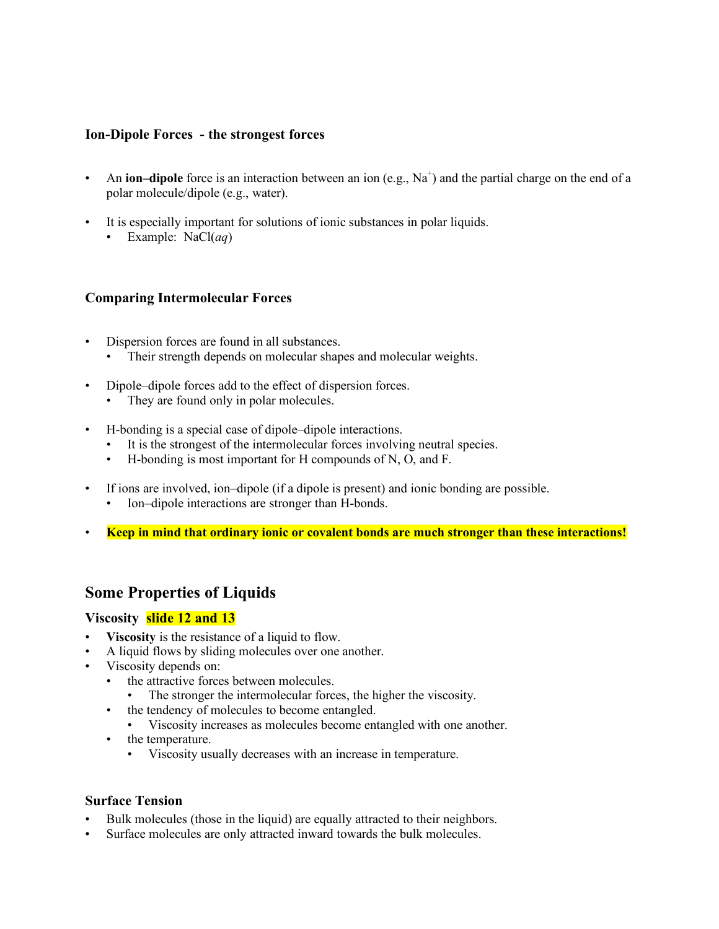#### **Ion-Dipole Forces - the strongest forces**

- An **ion–dipole** force is an interaction between an ion  $(e.g., Na<sup>+</sup>)$  and the partial charge on the end of a polar molecule/dipole (e.g., water).
- It is especially important for solutions of ionic substances in polar liquids.
	- Example: NaCl(*aq*)

### **Comparing Intermolecular Forces**

- Dispersion forces are found in all substances.
	- Their strength depends on molecular shapes and molecular weights.
- Dipole–dipole forces add to the effect of dispersion forces.
	- They are found only in polar molecules.
- H-bonding is a special case of dipole–dipole interactions.
	- It is the strongest of the intermolecular forces involving neutral species.
	- H-bonding is most important for H compounds of N, O, and F.
- If ions are involved, ion–dipole (if a dipole is present) and ionic bonding are possible.
	- Ion-dipole interactions are stronger than H-bonds.
- **Keep in mind that ordinary ionic or covalent bonds are much stronger than these interactions!**

### **Some Properties of Liquids**

#### **Viscosity slide 12 and 13**

- **Viscosity** is the resistance of a liquid to flow.
- A liquid flows by sliding molecules over one another.
- Viscosity depends on:
	- the attractive forces between molecules.
		- The stronger the intermolecular forces, the higher the viscosity.
	- the tendency of molecules to become entangled.
		- Viscosity increases as molecules become entangled with one another.
	- the temperature.
		- Viscosity usually decreases with an increase in temperature.

### **Surface Tension**

- Bulk molecules (those in the liquid) are equally attracted to their neighbors.
- Surface molecules are only attracted inward towards the bulk molecules.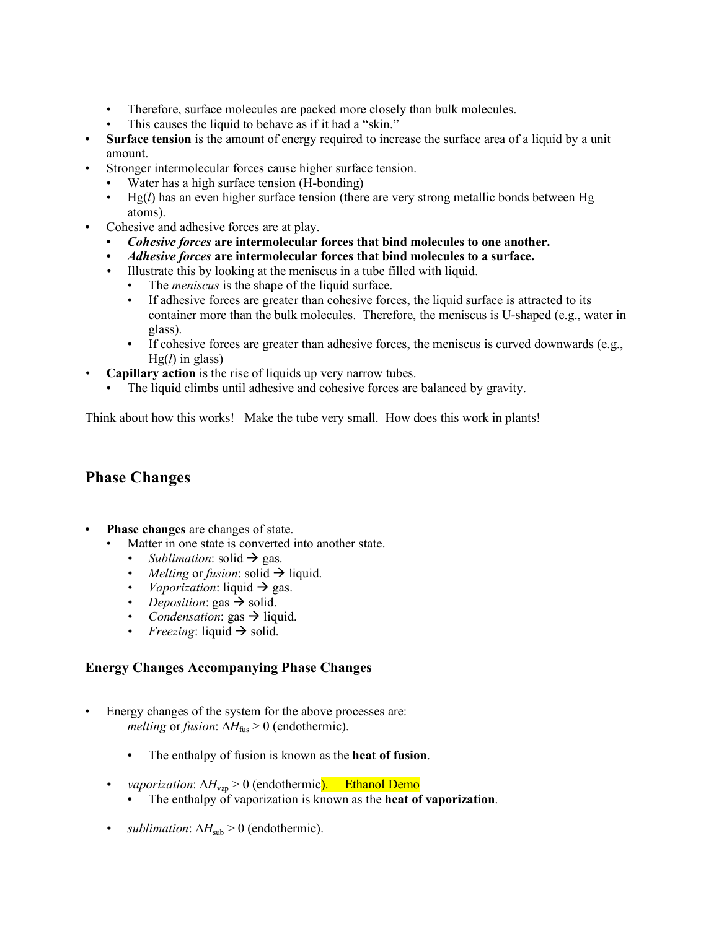- Therefore, surface molecules are packed more closely than bulk molecules.
- This causes the liquid to behave as if it had a "skin."
- **Surface tension** is the amount of energy required to increase the surface area of a liquid by a unit amount.
- Stronger intermolecular forces cause higher surface tension.
	- Water has a high surface tension (H-bonding)
		- Hg(*l*) has an even higher surface tension (there are very strong metallic bonds between Hg atoms).
- Cohesive and adhesive forces are at play.
	- **•** *Cohesive forces* **are intermolecular forces that bind molecules to one another.**
	- **•** *Adhesive forces* **are intermolecular forces that bind molecules to a surface.**
	- *•* Illustrate this by looking at the meniscus in a tube filled with liquid.
		- The *meniscus* is the shape of the liquid surface.
		- If adhesive forces are greater than cohesive forces, the liquid surface is attracted to its container more than the bulk molecules. Therefore, the meniscus is U-shaped (e.g., water in glass).
		- If cohesive forces are greater than adhesive forces, the meniscus is curved downwards (e.g., Hg(*l*) in glass)
- *•* **Capillary action** is the rise of liquids up very narrow tubes.
	- The liquid climbs until adhesive and cohesive forces are balanced by gravity.

Think about how this works! Make the tube very small. How does this work in plants!

# **Phase Changes**

- **• Phase changes** are changes of state.
	- Matter in one state is converted into another state.
		- *Sublimation*: solid  $\rightarrow$  gas.
		- *Melting or fusion*: solid  $\rightarrow$  liquid.
		- *Vaporization*: liquid  $\rightarrow$  gas.
		- *Deposition*: gas  $\rightarrow$  solid.
		- *Condensation*: gas  $\rightarrow$  liquid.
		- *Freezing*: liquid  $\rightarrow$  solid.

### **Energy Changes Accompanying Phase Changes**

- Energy changes of the system for the above processes are: *melting* or *fusion*:  $\Delta H_{\text{fus}} > 0$  (endothermic).
	- **•** The enthalpy of fusion is known as the **heat of fusion**.
	- *• vaporization*: ∆*H*vap > 0 (endothermic). Ethanol Demo
		- **•** The enthalpy of vaporization is known as the **heat of vaporization**.
	- *sublimation*:  $\Delta H_{sub} > 0$  (endothermic).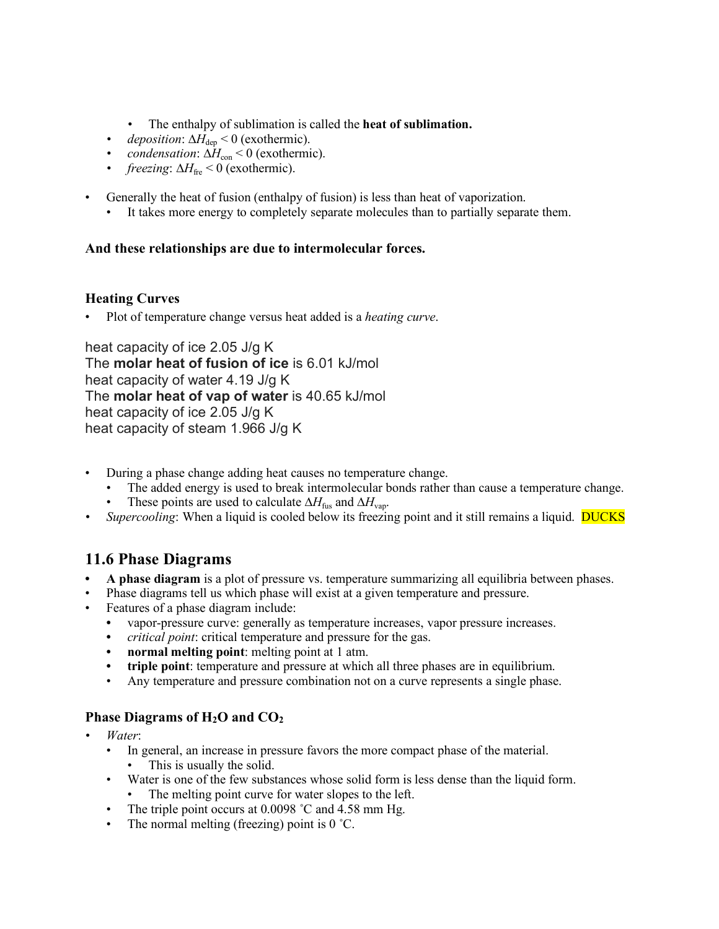- *•* The enthalpy of sublimation is called the **heat of sublimation.**
- *deposition*:  $\Delta H_{\text{dep}}$  < 0 (exothermic).
- *(exothermic).*
- *freezing*: ∆*H*<sub>fre</sub> < 0 (exothermic).
- Generally the heat of fusion (enthalpy of fusion) is less than heat of vaporization.
	- It takes more energy to completely separate molecules than to partially separate them.

### **And these relationships are due to intermolecular forces.**

### **Heating Curves**

• Plot of temperature change versus heat added is a *heating curve*.

heat capacity of ice 2.05 J/g K The **molar heat of fusion of ice** is 6.01 kJ/mol heat capacity of water 4.19 J/g K The **molar heat of vap of water** is 40.65 kJ/mol heat capacity of ice 2.05 J/g K heat capacity of steam 1.966 J/g K

- During a phase change adding heat causes no temperature change.
	- The added energy is used to break intermolecular bonds rather than cause a temperature change.
	- These points are used to calculate  $\Delta H_{\text{fus}}$  and  $\Delta H_{\text{vap}}$ .
- *Supercooling*: When a liquid is cooled below its freezing point and it still remains a liquid. **DUCKS**

# **11.6 Phase Diagrams**

- **• A phase diagram** is a plot of pressure vs. temperature summarizing all equilibria between phases.
- Phase diagrams tell us which phase will exist at a given temperature and pressure.
- Features of a phase diagram include:
	- **•** vapor-pressure curve: generally as temperature increases, vapor pressure increases.
	- **•** *critical point*: critical temperature and pressure for the gas.
	- **• normal melting point**: melting point at 1 atm.
	- **triple point**: temperature and pressure at which all three phases are in equilibrium.
	- Any temperature and pressure combination not on a curve represents a single phase.

### **Phase Diagrams of H2O and CO2**

- *• Water*:
	- In general, an increase in pressure favors the more compact phase of the material.
		- This is usually the solid.
	- Water is one of the few substances whose solid form is less dense than the liquid form.
		- The melting point curve for water slopes to the left.
	- The triple point occurs at 0.0098 °C and 4.58 mm Hg.
	- The normal melting (freezing) point is 0 °C.